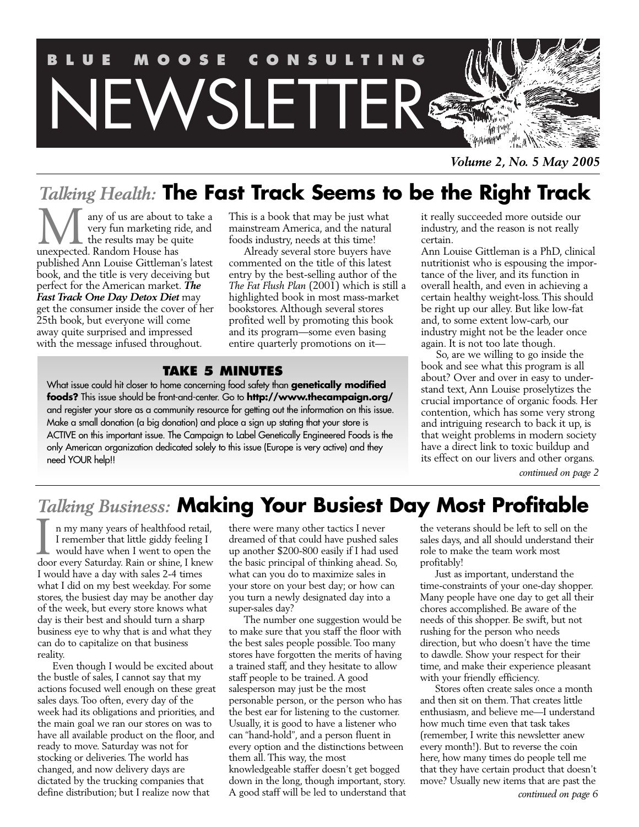

*Volume 2, No. 5 May 2005*

# *Talking Health:* **The Fast Track Seems to be the Right Track**

any of us are about to take a very fun marketing ride, and the results may be quite **M** any of us are about the results may be queexpected. Random House has published Ann Louise Gittleman's latest book, and the title is very deceiving but perfect for the American market. *The Fast Track One Day Detox Diet* may get the consumer inside the cover of her 25th book, but everyone will come away quite surprised and impressed with the message infused throughout.

This is a book that may be just what mainstream America, and the natural foods industry, needs at this time!

Already several store buyers have commented on the title of this latest entry by the best-selling author of the *The Fat Flush Plan* (2001) which is still a highlighted book in most mass-market bookstores. Although several stores profited well by promoting this book and its program—some even basing entire quarterly promotions on it—

# **TAKE 5 MINUTES**

What issue could hit closer to home concerning food safety than **genetically modified foods?** This issue should be front-and-center. Go to **http://www.thecampaign.org/** and register your store as a community resource for getting out the information on this issue. Make a small donation (a big donation) and place a sign up stating that your store is ACTIVE on this important issue. The Campaign to Label Genetically Engineered Foods is the only American organization dedicated solely to this issue (Europe is very active) and they need YOUR help!!

it really succeeded more outside our industry, and the reason is not really certain.

Ann Louise Gittleman is a PhD, clinical nutritionist who is espousing the importance of the liver, and its function in overall health, and even in achieving a certain healthy weight-loss. This should be right up our alley. But like low-fat and, to some extent low-carb, our industry might not be the leader once again. It is not too late though.

So, are we willing to go inside the book and see what this program is all about? Over and over in easy to understand text, Ann Louise proselytizes the crucial importance of organic foods. Her contention, which has some very strong and intriguing research to back it up, is that weight problems in modern society have a direct link to toxic buildup and its effect on our livers and other organs.

*continued on page 2*

# *Talking Business:* **Making Your Busiest Day Most Profitable**

n my many years of healthfood retail, I remember that little giddy feeling I would have when I went to open the I a my many years of healthfood retail,<br>I remember that little giddy feeling I<br>would have when I went to open the<br>door every Saturday. Rain or shine, I knew I would have a day with sales 2-4 times what I did on my best weekday. For some stores, the busiest day may be another day of the week, but every store knows what day is their best and should turn a sharp business eye to why that is and what they can do to capitalize on that business reality.

Even though I would be excited about the bustle of sales, I cannot say that my actions focused well enough on these great sales days. Too often, every day of the week had its obligations and priorities, and the main goal we ran our stores on was to have all available product on the floor, and ready to move. Saturday was not for stocking or deliveries. The world has changed, and now delivery days are dictated by the trucking companies that define distribution; but I realize now that

there were many other tactics I never dreamed of that could have pushed sales up another \$200-800 easily if I had used the basic principal of thinking ahead. So, what can you do to maximize sales in your store on your best day; or how can you turn a newly designated day into a super-sales day?

The number one suggestion would be to make sure that you staff the floor with the best sales people possible. Too many stores have forgotten the merits of having a trained staff, and they hesitate to allow staff people to be trained. A good salesperson may just be the most personable person, or the person who has the best ear for listening to the customer. Usually, it is good to have a listener who can "hand-hold", and a person fluent in every option and the distinctions between them all. This way, the most knowledgeable staffer doesn't get bogged down in the long, though important, story. A good staff will be led to understand that the veterans should be left to sell on the sales days, and all should understand their role to make the team work most profitably!

Just as important, understand the time-constraints of your one-day shopper. Many people have one day to get all their chores accomplished. Be aware of the needs of this shopper. Be swift, but not rushing for the person who needs direction, but who doesn't have the time to dawdle. Show your respect for their time, and make their experience pleasant with your friendly efficiency.

Stores often create sales once a month and then sit on them. That creates little enthusiasm, and believe me—I understand how much time even that task takes (remember, I write this newsletter anew every month!). But to reverse the coin here, how many times do people tell me that they have certain product that doesn't move? Usually new items that are past the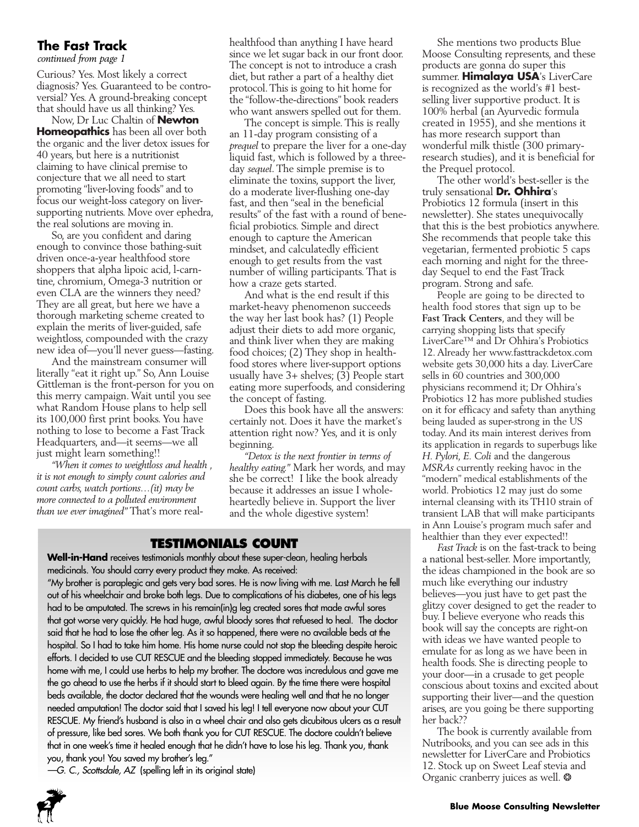# **The Fast Track**

*continued from page 1*

Curious? Yes. Most likely a correct diagnosis? Yes. Guaranteed to be controversial? Yes. A ground-breaking concept that should have us all thinking? Yes.

Now, Dr Luc Chaltin of **Newton Homeopathics** has been all over both the organic and the liver detox issues for 40 years, but here is a nutritionist claiming to have clinical premise to conjecture that we all need to start promoting "liver-loving foods" and to focus our weight-loss category on liversupporting nutrients. Move over ephedra, the real solutions are moving in.

So, are you confident and daring enough to convince those bathing-suit driven once-a-year healthfood store shoppers that alpha lipoic acid, l-carntine, chromium, Omega-3 nutrition or even CLA are the winners they need? They are all great, but here we have a thorough marketing scheme created to explain the merits of liver-guided, safe weightloss, compounded with the crazy new idea of—you'll never guess—fasting.

And the mainstream consumer will literally "eat it right up." So, Ann Louise Gittleman is the front-person for you on this merry campaign. Wait until you see what Random House plans to help sell its 100,000 first print books. You have nothing to lose to become a Fast Track Headquarters, and—it seems—we all just might learn something!!

*"When it comes to weightloss and health , it is not enough to simply count calories and count carbs, watch portions…(it) may be more connected to a polluted environment than we ever imagined"* That's more realhealthfood than anything I have heard since we let sugar back in our front door. The concept is not to introduce a crash diet, but rather a part of a healthy diet protocol. This is going to hit home for the "follow-the-directions" book readers who want answers spelled out for them.

The concept is simple. This is really an 11-day program consisting of a *prequel* to prepare the liver for a one-day liquid fast, which is followed by a threeday *sequel*. The simple premise is to eliminate the toxins, support the liver, do a moderate liver-flushing one-day fast, and then "seal in the beneficial results" of the fast with a round of beneficial probiotics. Simple and direct enough to capture the American mindset, and calculatedly efficient enough to get results from the vast number of willing participants. That is how a craze gets started.

And what is the end result if this market-heavy phenomenon succeeds the way her last book has? (1) People adjust their diets to add more organic, and think liver when they are making food choices; (2) They shop in healthfood stores where liver-support options usually have 3+ shelves; (3) People start eating more superfoods, and considering the concept of fasting.

Does this book have all the answers: certainly not. Does it have the market's attention right now? Yes, and it is only beginning.

*"Detox is the next frontier in terms of healthy eating."* Mark her words, and may she be correct! I like the book already because it addresses an issue I wholeheartedly believe in. Support the liver and the whole digestive system!

# **TESTIMONIALS COUNT**

**Well-in-Hand** receives testimonials monthly about these super-clean, healing herbals medicinals. You should carry every product they make. As received:

"My brother is paraplegic and gets very bad sores. He is now living with me. Last March he fell out of his wheelchair and broke both legs. Due to complications of his diabetes, one of his legs had to be amputated. The screws in his remain(in)g leg created sores that made awful sores that got worse very quickly. He had huge, awful bloody sores that refuesed to heal. The doctor said that he had to lose the other leg. As it so happened, there were no available beds at the hospital. So I had to take him home. His home nurse could not stop the bleeding despite heroic efforts. I decided to use CUT RESCUE and the bleeding stopped immediately. Because he was home with me, I could use herbs to help my brother. The doctore was incredulous and gave me the go ahead to use the herbs if it should start to bleed again. By the time there were hospital beds available, the doctor declared that the wounds were healing well and that he no longer needed amputation! The doctor said that I saved his leg! I tell everyone now about your CUT RESCUE. My friend's husband is also in a wheel chair and also gets dicubitous ulcers as a result of pressure, like bed sores. We both thank you for CUT RESCUE. The doctore couldn't believe that in one week's time it healed enough that he didn't have to lose his leg. Thank you, thank you, thank you! You saved my brother's leg."

*—G. C., Scottsdale, AZ* (spelling left in its original state)



She mentions two products Blue Moose Consulting represents, and these products are gonna do super this summer. **Himalaya USA**'s LiverCare is recognized as the world's #1 bestselling liver supportive product. It is 100% herbal (an Ayurvedic formula created in 1955), and she mentions it has more research support than wonderful milk thistle (300 primaryresearch studies), and it is beneficial for the Prequel protocol.

The other world's best-seller is the truly sensational **Dr. Ohhira**'s Probiotics 12 formula (insert in this newsletter). She states unequivocally that this is the best probiotics anywhere. She recommends that people take this vegetarian, fermented probiotic 5 caps each morning and night for the threeday Sequel to end the Fast Track program. Strong and safe.

People are going to be directed to health food stores that sign up to be **Fast Track Centers**, and they will be carrying shopping lists that specify LiverCare™ and Dr Ohhira's Probiotics 12. Already her www.fasttrackdetox.com website gets 30,000 hits a day. LiverCare sells in 60 countries and 300,000 physicians recommend it; Dr Ohhira's Probiotics 12 has more published studies on it for efficacy and safety than anything being lauded as super-strong in the US today. And its main interest derives from its application in regards to superbugs like *H. Pylori, E. Coli* and the dangerous *MSRAs* currently reeking havoc in the "modern" medical establishments of the world. Probiotics 12 may just do some internal cleansing with its TH10 strain of transient LAB that will make participants in Ann Louise's program much safer and healthier than they ever expected!!

*Fast Track* is on the fast-track to being a national best-seller. More importantly, the ideas championed in the book are so much like everything our industry believes—you just have to get past the glitzy cover designed to get the reader to buy. I believe everyone who reads this book will say the concepts are right-on with ideas we have wanted people to emulate for as long as we have been in health foods. She is directing people to your door—in a crusade to get people conscious about toxins and excited about supporting their liver—and the question arises, are you going be there supporting her back??

The book is currently available from Nutribooks, and you can see ads in this newsletter for LiverCare and Probiotics 12. Stock up on Sweet Leaf stevia and Organic cranberry juices as well.  $*$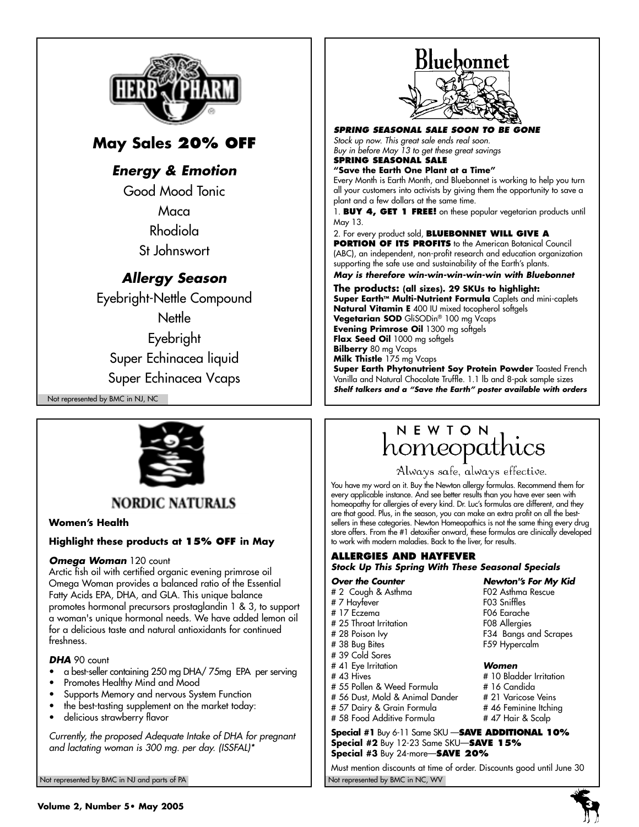

# **May Sales 20% OFF**

# *Energy & Emotion*

Good Mood Tonic **Maca** Rhodiola

St Johnswort

# *Allergy Season*

Eyebright-Nettle Compound **Nettle** Eyebright Super Echinacea liquid Super Echinacea Vcaps

Not represented by BMC in NJ, NC



# **NORDIC NATURALS**

# **Women's Health**

# **Highlight these products at 15% OFF in May**

# **Omega Woman** 120 count

Arctic fish oil with certified organic evening primrose oil Omega Woman provides a balanced ratio of the Essential Fatty Acids EPA, DHA, and GLA. This unique balance promotes hormonal precursors prostaglandin 1 & 3, to support a woman's unique hormonal needs. We have added lemon oil for a delicious taste and natural antioxidants for continued freshness.

## *DHA* 90 count

- a best-seller containing 250 mg DHA/ 75mg EPA per serving
- Promotes Healthy Mind and Mood
- Supports Memory and nervous System Function
- the best-tasting supplement on the market today:
- delicious strawberry flavor

*Currently, the proposed Adequate Intake of DHA for pregnant and lactating woman is 300 mg. per day. (ISSFAL)\**

Not represented by BMC in NJ and parts of PA Not represented by BMC in NC, WV Not represented by BMC in NC, WV

# Bluebonnet

#### *SPRING SEASONAL SALE SOON TO BE GONE*

*Stock up now. This great sale ends real soon. Buy in before May 13 to get these great savings* 

#### **SPRING SEASONAL SALE "Save the Earth One Plant at a Time"**

Every Month is Earth Month, and Bluebonnet is working to help you turn all your customers into activists by giving them the opportunity to save a plant and a few dollars at the same time.

1. **BUY 4, GET 1 FREE!** on these popular vegetarian products until May 13.

2. For every product sold, **BLUEBONNET WILL GIVE A PORTION OF ITS PROFITS** to the American Botanical Council (ABC), an independent, non-profit research and education organization supporting the safe use and sustainability of the Earth's plants. *May is therefore win-win-win-win-win with Bluebonnet*

**The products: (all sizes). 29 SKUs to highlight:** Super Earth<sup>™</sup> Multi-Nutrient Formula Caplets and mini-caplets **Natural Vitamin E** 400 IU mixed tocopherol softgels **Vegetarian SOD** GliSODin® 100 mg Vcaps **Evening Primrose Oil** 1300 mg softgels **Flax Seed Oil** 1000 mg softgels **Bilberry** 80 mg Vcaps **Milk Thistle** 175 mg Vcaps **Super Earth Phytonutrient Soy Protein Powder Toasted French** Vanilla and Natural Chocolate Truffle. 1.1 lb and 8-pak sample sizes *Shelf talkers and a "Save the Earth" poster available with orders*

# NEWTON homeopathics

Always safe, always effective.

F06 Earache<br>F08 Allergies

F34 Bangs and Scrapes

You have my word on it. Buy the Newton allergy formulas. Recommend them for every applicable instance. And see better results than you have ever seen with homeopathy for allergies of every kind. Dr. Luc's formulas are different, and they are that good. Plus, in the season, you can make an extra profit on all the bestsellers in these categories. Newton Homeopathics is not the same thing every drug store offers. From the #1 detoxifier onward, these formulas are clinically developed to work with modern maladies. Back to the liver, for results.

### **ALLERGIES AND HAYFEVER** *Stock Up This Spring With These Seasonal Specials*

*Over the Counter Newton''s For My Kid*

- # 2 Cough & Asthma F02 Asthma Rescue
- # 7 Hayfever<br># 17 Fczema
- 
- # 25 Throat Irritation<br># 28 Poison Ivy
- # 38 Bug Bites F59 Hypercalm
- # 39 Cold Sores
- # 41 Eye Irritation *Women*
- 
- # 43 Hives # 10 Bladder Irritation<br># 55 Pollen & Weed Formula # 16 Candida
- # 55 Pollen & Weed Formula # 56 Dust, Mold & Animal Dander # 21 Varicose Veins
- 
- # 57 Dairy & Grain Formula # 46 Feminine Itching<br># 58 Food Additive Formula # 47 Hair & Scalp # 58 Food Additive Formula
- **Special #1** Buy 6-11 Same SKU —**SAVE ADDITIONAL 10% Special #2** Buy 12-23 Same SKU—**SAVE 15% Special #3** Buy 24-more—**SAVE 20%**

Must mention discounts at time of order. Discounts good until June 30

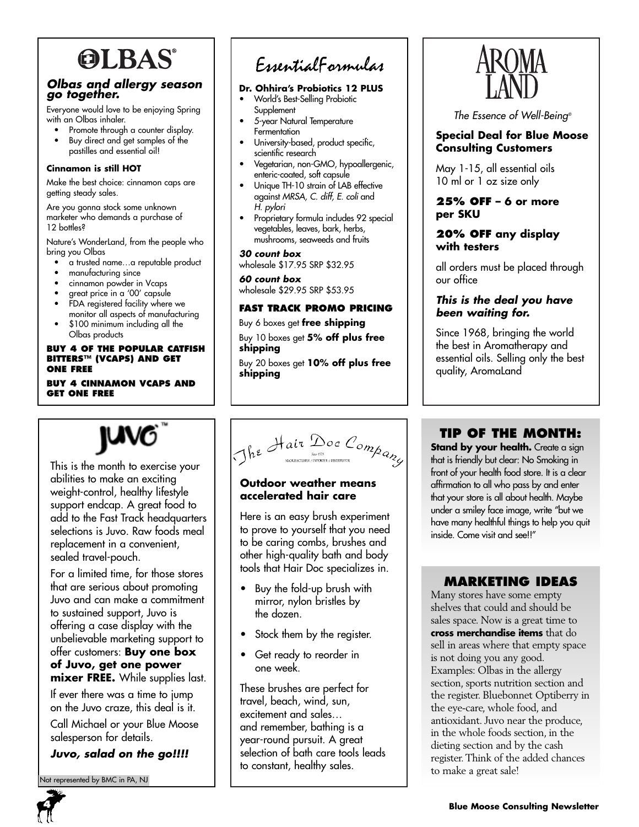# **OLBAS®**

# *Olbas and allergy season go together.*

Everyone would love to be enjoying Spring with an Olbas inhaler.

- Promote through a counter display.
- Buy direct and get samples of the pastilles and essential oil!

#### **Cinnamon is still HOT**

Make the best choice: cinnamon caps are getting steady sales.

Are you gonna stock some unknown marketer who demands a purchase of 12 bottles?

Nature's WonderLand, from the people who bring you Olbas

- a trusted name…a reputable product
- manufacturing since
- cinnamon powder in Vcaps
- great price in a '00' capsule
- FDA registered facility where we monitor all aspects of manufacturing
- \$100 minimum including all the Olbas products

#### **BUY 4 OF THE POPULAR CATFISH BITTERS™ (VCAPS) AND GET ONE FREE**

#### **BUY 4 CINNAMON VCAPS AND GET ONE FREE**

This is the month to exercise your abilities to make an exciting weight-control, healthy lifestyle support endcap. A great food to add to the Fast Track headquarters selections is Juvo. Raw foods meal replacement in a convenient,

**JUVO** 

For a limited time, for those stores that are serious about promoting Juvo and can make a commitment to sustained support, Juvo is offering a case display with the unbelievable marketing support to offer customers: **Buy one box of Juvo, get one power mixer FREE.** While supplies last. If ever there was a time to jump on the Juvo craze, this deal is it. Call Michael or your Blue Moose

# EssentialFormulas

# **Dr. Ohhira's Probiotics 12 PLUS**

- World's Best-Selling Probiotic **Supplement**
- 5-year Natural Temperature **Fermentation**
- University-based, product specific, scientific research
- Vegetarian, non-GMO, hypoallergenic, enteric-coated, soft capsule
- Unique TH-10 strain of LAB effective against *MRSA, C. diff, E. coli* and *H. pylori*
- Proprietary formula includes 92 special vegetables, leaves, bark, herbs, mushrooms, seaweeds and fruits

#### *30 count box*

wholesale \$17.95 SRP \$32.95

#### *60 count box*

wholesale \$29.95 SRP \$53.95

# **FAST TRACK PROMO PRICING**

Buy 6 boxes get **free shipping** Buy 10 boxes get **5% off plus free shipping**

Buy 20 boxes get **10% off plus free shipping**

# **accelerated hair care**

Here is an easy brush experiment to prove to yourself that you need to be caring combs, brushes and other high-quality bath and body tools that Hair Doc specializes in.

- Buy the fold-up brush with mirror, nylon bristles by the dozen.
- Stock them by the register.
- Get ready to reorder in one week.

These brushes are perfect for travel, beach, wind, sun, excitement and sales… and remember, bathing is a year-round pursuit. A great selection of bath care tools leads to constant, healthy sales.



*The Essence of Well-Being®*

# **Special Deal for Blue Moose Consulting Customers**

May 1-15, all essential oils 10 ml or 1 oz size only

# **25% OFF – 6 or more per SKU**

# **20% OFF any display with testers**

all orders must be placed through our office

# *This is the deal you have been waiting for.*

Since 1968, bringing the world the best in Aromatherapy and essential oils. Selling only the best quality, AromaLand

# **TIP OF THE MONTH:**

Stand by your health. Create a sign that is friendly but clear: No Smoking in front of your health food store. It is a clear affirmation to all who pass by and enter that your store is all about health. Maybe under a smiley face image, write "but we have many healthful things to help you quit inside. Come visit and see!!"

# **MARKETING IDEAS**

Many stores have some empty shelves that could and should be sales space. Now is a great time to **cross merchandise items** that do sell in areas where that empty space is not doing you any good. Examples: Olbas in the allergy section, sports nutrition section and the register. Bluebonnet Optiberry in the eye-care, whole food, and antioxidant. Juvo near the produce, in the whole foods section, in the dieting section and by the cash register. Think of the added chances to make a great sale!

ot represented by BMC in PA, NJ

salesperson for details.

*Juvo, salad on the go!!!!*

sealed travel-pouch.



**Outdoor weather means**

# The Hair Doc Company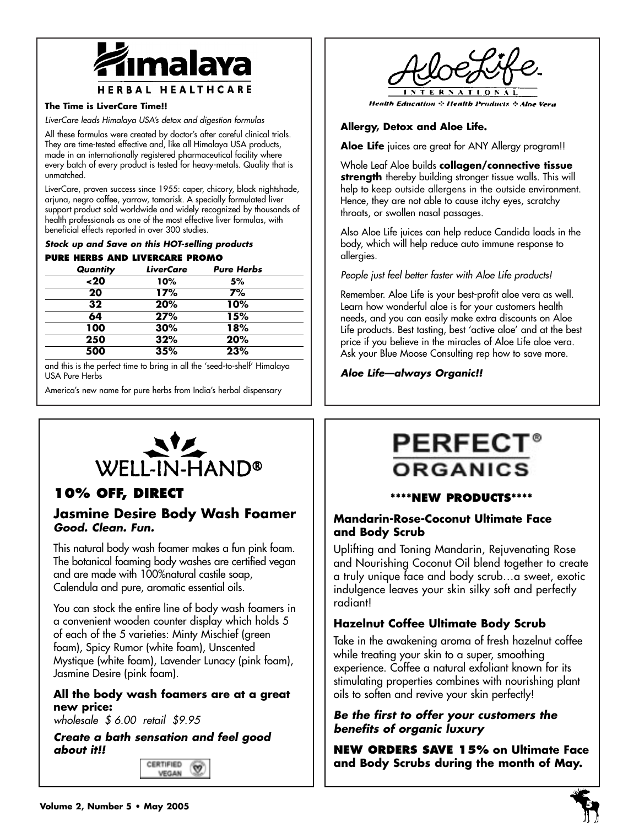

### **The Time is LiverCare Time!!**

*LiverCare leads Himalaya USA's detox and digestion formulas*

All these formulas were created by doctor's after careful clinical trials. They are time-tested effective and, like all Himalaya USA products, made in an internationally registered pharmaceutical facility where every batch of every product is tested for heavy-metals. Quality that is unmatched.

LiverCare, proven success since 1955: caper, chicory, black nightshade, arjuna, negro coffee, yarrow, tamarisk. A specially formulated liver support product sold worldwide and widely recognized by thousands of health professionals as one of the most effective liver formulas, with beneficial effects reported in over 300 studies.

### *Stock up and Save on this HOT-selling products*

### **PURE HERBS AND LIVERCARE PROMO**

| Quantity | <b>LiverCare</b> | <b>Pure Herbs</b> |
|----------|------------------|-------------------|
| ~120     | 10%              | 5%                |
| 20       | 17%              | 7%                |
| 32       | 20%              | 10%               |
| 64       | 27%              | 15%               |
| 100      | 30%              | 18%               |
| 250      | 32%              | 20%               |
| 500      | 35%              | 23%               |

and this is the perfect time to bring in all the 'seed-to-shelf' Himalaya USA Pure Herbs

America's new name for pure herbs from India's herbal dispensary



# **10% OFF, DIRECT**

# **Jasmine Desire Body Wash Foamer** *Good. Clean. Fun.*

This natural body wash foamer makes a fun pink foam. The botanical foaming body washes are certified vegan and are made with 100%natural castile soap, Calendula and pure, aromatic essential oils.

You can stock the entire line of body wash foamers in a convenient wooden counter display which holds 5 of each of the 5 varieties: Minty Mischief (green foam), Spicy Rumor (white foam), Unscented Mystique (white foam), Lavender Lunacy (pink foam), Jasmine Desire (pink foam).

# **All the body wash foamers are at a great new price:**

*wholesale \$ 6.00 retail \$9.95*

*Create a bath sensation and feel good about it!!*



**Health Education :: Health Products :: Aloe Vera** 

# **Allergy, Detox and Aloe Life.**

**Aloe Life** juices are great for ANY Allergy program!!

Whole Leaf Aloe builds **collagen/connective tissue strength** thereby building stronger tissue walls. This will help to keep outside allergens in the outside environment. Hence, they are not able to cause itchy eyes, scratchy throats, or swollen nasal passages.

Also Aloe Life juices can help reduce Candida loads in the body, which will help reduce auto immune response to allergies.

*People just feel better faster with Aloe Life products!*

Remember. Aloe Life is your best-profit aloe vera as well. Learn how wonderful aloe is for your customers health needs, and you can easily make extra discounts on Aloe Life products. Best tasting, best 'active aloe' and at the best price if you believe in the miracles of Aloe Life aloe vera. Ask your Blue Moose Consulting rep how to save more.

*Aloe Life—always Organic!!*

# **PERFEC** ORGANICS

# **\*\*\*\*NEW PRODUCTS\*\*\*\***

# **Mandarin-Rose-Coconut Ultimate Face and Body Scrub**

Uplifting and Toning Mandarin, Rejuvenating Rose and Nourishing Coconut Oil blend together to create a truly unique face and body scrub…a sweet, exotic indulgence leaves your skin silky soft and perfectly radiant!

# **Hazelnut Coffee Ultimate Body Scrub**

Take in the awakening aroma of fresh hazelnut coffee while treating your skin to a super, smoothing experience. Coffee a natural exfoliant known for its stimulating properties combines with nourishing plant oils to soften and revive your skin perfectly!

# *Be the first to offer your customers the benefits of organic luxury*

**NEW ORDERS SAVE 15% on Ultimate Face and Body Scrubs during the month of May.**